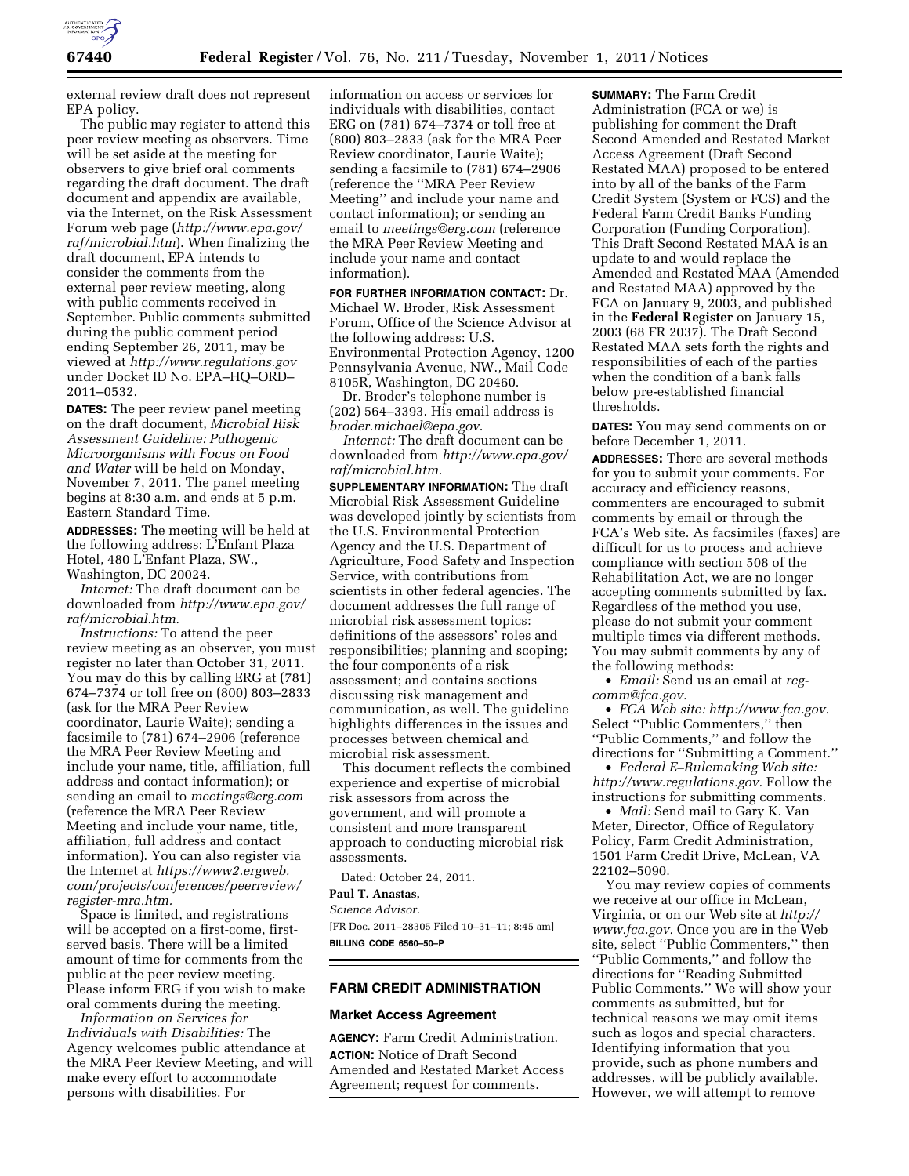

external review draft does not represent EPA policy.

The public may register to attend this peer review meeting as observers. Time will be set aside at the meeting for observers to give brief oral comments regarding the draft document. The draft document and appendix are available, via the Internet, on the Risk Assessment Forum web page (*[http://www.epa.gov/](http://www.epa.gov/raf/microbial.htm) [raf/microbial.htm](http://www.epa.gov/raf/microbial.htm)*). When finalizing the draft document, EPA intends to consider the comments from the external peer review meeting, along with public comments received in September. Public comments submitted during the public comment period ending September 26, 2011, may be viewed at *<http://www.regulations.gov>* under Docket ID No. EPA–HQ–ORD– 2011–0532.

**DATES:** The peer review panel meeting on the draft document, *Microbial Risk Assessment Guideline: Pathogenic Microorganisms with Focus on Food and Water* will be held on Monday, November 7, 2011. The panel meeting begins at 8:30 a.m. and ends at 5 p.m. Eastern Standard Time.

**ADDRESSES:** The meeting will be held at the following address: L'Enfant Plaza Hotel, 480 L'Enfant Plaza, SW., Washington, DC 20024.

*Internet:* The draft document can be downloaded from *[http://www.epa.gov/](http://www.epa.gov/raf/microbial.htm)  [raf/microbial.htm.](http://www.epa.gov/raf/microbial.htm)* 

*Instructions:* To attend the peer review meeting as an observer, you must register no later than October 31, 2011. You may do this by calling ERG at (781) 674–7374 or toll free on (800) 803–2833 (ask for the MRA Peer Review coordinator, Laurie Waite); sending a facsimile to (781) 674–2906 (reference the MRA Peer Review Meeting and include your name, title, affiliation, full address and contact information); or sending an email to *[meetings@erg.com](mailto:meetings@erg.com)*  (reference the MRA Peer Review Meeting and include your name, title, affiliation, full address and contact information). You can also register via the Internet at *[https://www2.ergweb.](https://www2.ergweb.com/projects/conferences/peerreview/register-mra.htm) [com/projects/conferences/peerreview/](https://www2.ergweb.com/projects/conferences/peerreview/register-mra.htm) [register-mra.htm.](https://www2.ergweb.com/projects/conferences/peerreview/register-mra.htm)* 

Space is limited, and registrations will be accepted on a first-come, firstserved basis. There will be a limited amount of time for comments from the public at the peer review meeting. Please inform ERG if you wish to make oral comments during the meeting.

*Information on Services for Individuals with Disabilities:* The Agency welcomes public attendance at the MRA Peer Review Meeting, and will make every effort to accommodate persons with disabilities. For

information on access or services for individuals with disabilities, contact ERG on (781) 674–7374 or toll free at (800) 803–2833 (ask for the MRA Peer Review coordinator, Laurie Waite); sending a facsimile to (781) 674–2906 (reference the ''MRA Peer Review Meeting'' and include your name and contact information); or sending an email to *[meetings@erg.com](mailto:meetings@erg.com)* (reference the MRA Peer Review Meeting and include your name and contact information).

**FOR FURTHER INFORMATION CONTACT:** Dr. Michael W. Broder, Risk Assessment Forum, Office of the Science Advisor at the following address: U.S. Environmental Protection Agency, 1200 Pennsylvania Avenue, NW., Mail Code 8105R, Washington, DC 20460.

Dr. Broder's telephone number is (202) 564–3393. His email address is *[broder.michael@epa.gov](mailto:broder.michael@epa.gov)*.

*Internet:* The draft document can be downloaded from *[http://www.epa.gov/](http://www.epa.gov/raf/microbial.htm)  [raf/microbial.htm.](http://www.epa.gov/raf/microbial.htm)* 

**SUPPLEMENTARY INFORMATION:** The draft Microbial Risk Assessment Guideline was developed jointly by scientists from the U.S. Environmental Protection Agency and the U.S. Department of Agriculture, Food Safety and Inspection Service, with contributions from scientists in other federal agencies. The document addresses the full range of microbial risk assessment topics: definitions of the assessors' roles and responsibilities; planning and scoping; the four components of a risk assessment; and contains sections discussing risk management and communication, as well. The guideline highlights differences in the issues and processes between chemical and microbial risk assessment.

This document reflects the combined experience and expertise of microbial risk assessors from across the government, and will promote a consistent and more transparent approach to conducting microbial risk assessments.

Dated: October 24, 2011.

# **Paul T. Anastas,**

*Science Advisor.*  [FR Doc. 2011–28305 Filed 10–31–11; 8:45 am] **BILLING CODE 6560–50–P** 

### **FARM CREDIT ADMINISTRATION**

#### **Market Access Agreement**

**AGENCY:** Farm Credit Administration. **ACTION:** Notice of Draft Second Amended and Restated Market Access Agreement; request for comments.

**SUMMARY:** The Farm Credit Administration (FCA or we) is publishing for comment the Draft Second Amended and Restated Market Access Agreement (Draft Second Restated MAA) proposed to be entered into by all of the banks of the Farm Credit System (System or FCS) and the Federal Farm Credit Banks Funding Corporation (Funding Corporation). This Draft Second Restated MAA is an update to and would replace the Amended and Restated MAA (Amended and Restated MAA) approved by the FCA on January 9, 2003, and published in the **Federal Register** on January 15, 2003 (68 FR 2037). The Draft Second Restated MAA sets forth the rights and responsibilities of each of the parties when the condition of a bank falls below pre-established financial thresholds.

**DATES:** You may send comments on or before December 1, 2011.

**ADDRESSES:** There are several methods for you to submit your comments. For accuracy and efficiency reasons, commenters are encouraged to submit comments by email or through the FCA's Web site. As facsimiles (faxes) are difficult for us to process and achieve compliance with section 508 of the Rehabilitation Act, we are no longer accepting comments submitted by fax. Regardless of the method you use, please do not submit your comment multiple times via different methods. You may submit comments by any of the following methods:

• *Email:* Send us an email at *[reg](mailto:reg-comm@fca.gov)[comm@fca.gov.](mailto:reg-comm@fca.gov)* 

• *FCA Web site: http://www.fca.gov.*  Select ''Public Commenters,'' then ''Public Comments,'' and follow the directions for ''Submitting a Comment.''

• *Federal E–Rulemaking Web site: [http://www.regulations.gov.](http://www.regulations.gov)* Follow the instructions for submitting comments.

• *Mail:* Send mail to Gary K. Van Meter, Director, Office of Regulatory Policy, Farm Credit Administration, 1501 Farm Credit Drive, McLean, VA 22102–5090.

You may review copies of comments we receive at our office in McLean, Virginia, or on our Web site at *[http://](http://www.fca.gov) [www.fca.gov.](http://www.fca.gov)* Once you are in the Web site, select ''Public Commenters,'' then ''Public Comments,'' and follow the directions for ''Reading Submitted Public Comments.'' We will show your comments as submitted, but for technical reasons we may omit items such as logos and special characters. Identifying information that you provide, such as phone numbers and addresses, will be publicly available. However, we will attempt to remove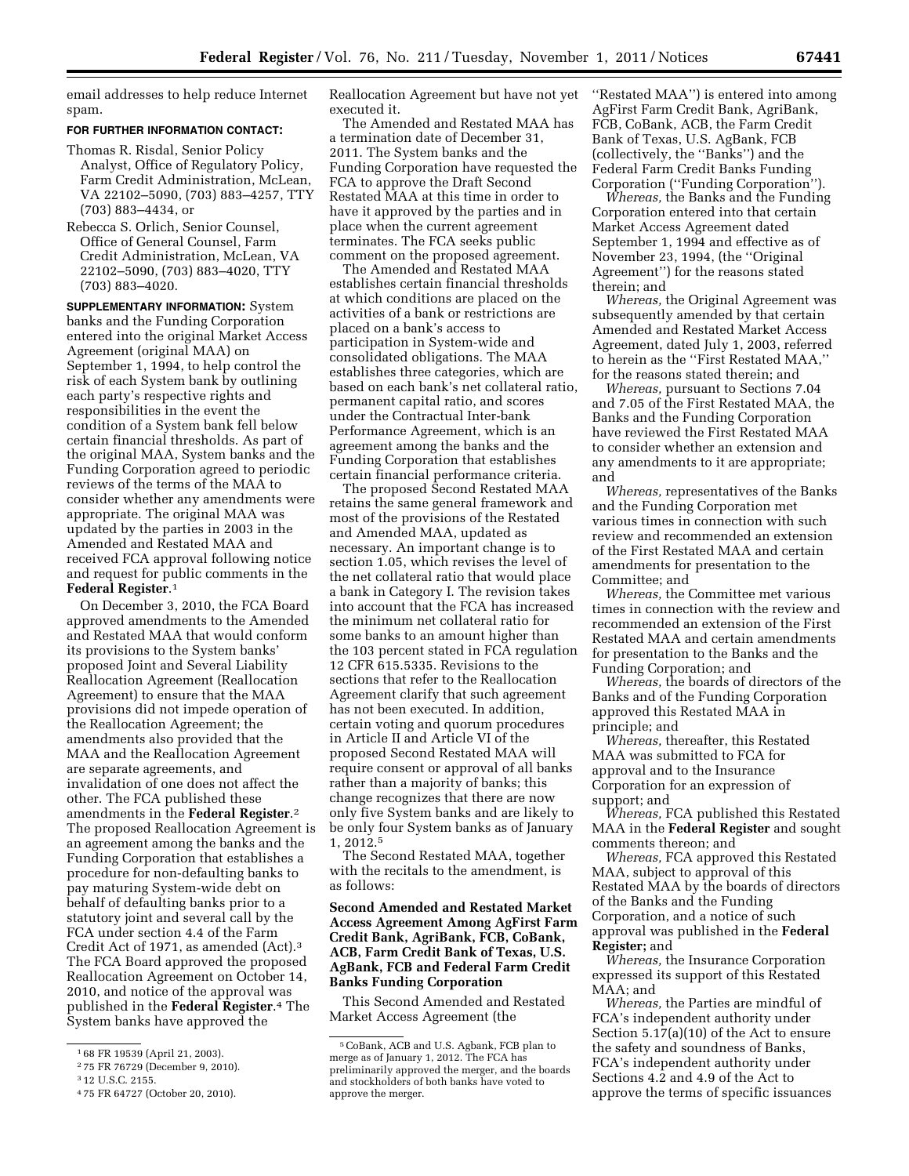email addresses to help reduce Internet spam.

### **FOR FURTHER INFORMATION CONTACT:**

Thomas R. Risdal, Senior Policy Analyst, Office of Regulatory Policy, Farm Credit Administration, McLean, VA 22102–5090, (703) 883–4257, TTY (703) 883–4434, or

Rebecca S. Orlich, Senior Counsel, Office of General Counsel, Farm Credit Administration, McLean, VA 22102–5090, (703) 883–4020, TTY (703) 883–4020.

**SUPPLEMENTARY INFORMATION:** System banks and the Funding Corporation entered into the original Market Access Agreement (original MAA) on September 1, 1994, to help control the risk of each System bank by outlining each party's respective rights and responsibilities in the event the condition of a System bank fell below certain financial thresholds. As part of the original MAA, System banks and the Funding Corporation agreed to periodic reviews of the terms of the MAA to consider whether any amendments were appropriate. The original MAA was updated by the parties in 2003 in the Amended and Restated MAA and received FCA approval following notice and request for public comments in the **Federal Register**.1

On December 3, 2010, the FCA Board approved amendments to the Amended and Restated MAA that would conform its provisions to the System banks' proposed Joint and Several Liability Reallocation Agreement (Reallocation Agreement) to ensure that the MAA provisions did not impede operation of the Reallocation Agreement; the amendments also provided that the MAA and the Reallocation Agreement are separate agreements, and invalidation of one does not affect the other. The FCA published these amendments in the **Federal Register**.2 The proposed Reallocation Agreement is an agreement among the banks and the Funding Corporation that establishes a procedure for non-defaulting banks to pay maturing System-wide debt on behalf of defaulting banks prior to a statutory joint and several call by the FCA under section 4.4 of the Farm Credit Act of 1971, as amended (Act).3 The FCA Board approved the proposed Reallocation Agreement on October 14, 2010, and notice of the approval was published in the **Federal Register**.4 The System banks have approved the

Reallocation Agreement but have not yet executed it.

The Amended and Restated MAA has a termination date of December 31, 2011. The System banks and the Funding Corporation have requested the FCA to approve the Draft Second Restated MAA at this time in order to have it approved by the parties and in place when the current agreement terminates. The FCA seeks public comment on the proposed agreement.

The Amended and Restated MAA establishes certain financial thresholds at which conditions are placed on the activities of a bank or restrictions are placed on a bank's access to participation in System-wide and consolidated obligations. The MAA establishes three categories, which are based on each bank's net collateral ratio, permanent capital ratio, and scores under the Contractual Inter-bank Performance Agreement, which is an agreement among the banks and the Funding Corporation that establishes certain financial performance criteria.

The proposed Second Restated MAA retains the same general framework and most of the provisions of the Restated and Amended MAA, updated as necessary. An important change is to section 1.05, which revises the level of the net collateral ratio that would place a bank in Category I. The revision takes into account that the FCA has increased the minimum net collateral ratio for some banks to an amount higher than the 103 percent stated in FCA regulation 12 CFR 615.5335. Revisions to the sections that refer to the Reallocation Agreement clarify that such agreement has not been executed. In addition, certain voting and quorum procedures in Article II and Article VI of the proposed Second Restated MAA will require consent or approval of all banks rather than a majority of banks; this change recognizes that there are now only five System banks and are likely to be only four System banks as of January 1, 2012.5

The Second Restated MAA, together with the recitals to the amendment, is as follows:

## **Second Amended and Restated Market Access Agreement Among AgFirst Farm Credit Bank, AgriBank, FCB, CoBank, ACB, Farm Credit Bank of Texas, U.S. AgBank, FCB and Federal Farm Credit Banks Funding Corporation**

This Second Amended and Restated Market Access Agreement (the

''Restated MAA'') is entered into among AgFirst Farm Credit Bank, AgriBank, FCB, CoBank, ACB, the Farm Credit Bank of Texas, U.S. AgBank, FCB (collectively, the ''Banks'') and the Federal Farm Credit Banks Funding Corporation (''Funding Corporation'').

*Whereas,* the Banks and the Funding Corporation entered into that certain Market Access Agreement dated September 1, 1994 and effective as of November 23, 1994, (the ''Original Agreement'') for the reasons stated therein; and

*Whereas,* the Original Agreement was subsequently amended by that certain Amended and Restated Market Access Agreement, dated July 1, 2003, referred to herein as the ''First Restated MAA,'' for the reasons stated therein; and

*Whereas,* pursuant to Sections 7.04 and 7.05 of the First Restated MAA, the Banks and the Funding Corporation have reviewed the First Restated MAA to consider whether an extension and any amendments to it are appropriate; and

*Whereas,* representatives of the Banks and the Funding Corporation met various times in connection with such review and recommended an extension of the First Restated MAA and certain amendments for presentation to the Committee; and

*Whereas,* the Committee met various times in connection with the review and recommended an extension of the First Restated MAA and certain amendments for presentation to the Banks and the Funding Corporation; and

*Whereas,* the boards of directors of the Banks and of the Funding Corporation approved this Restated MAA in principle; and

*Whereas,* thereafter, this Restated MAA was submitted to FCA for approval and to the Insurance Corporation for an expression of support; and

*Whereas,* FCA published this Restated MAA in the **Federal Register** and sought comments thereon; and

*Whereas,* FCA approved this Restated MAA, subject to approval of this Restated MAA by the boards of directors of the Banks and the Funding Corporation, and a notice of such approval was published in the **Federal Register;** and

*Whereas,* the Insurance Corporation expressed its support of this Restated MAA; and

*Whereas,* the Parties are mindful of FCA's independent authority under Section 5.17(a)(10) of the Act to ensure the safety and soundness of Banks, FCA's independent authority under Sections 4.2 and 4.9 of the Act to approve the terms of specific issuances

<sup>1</sup> 68 FR 19539 (April 21, 2003).

<sup>2</sup> 75 FR 76729 (December 9, 2010).

<sup>3</sup> 12 U.S.C. 2155.

<sup>4</sup> 75 FR 64727 (October 20, 2010).

<sup>5</sup>CoBank, ACB and U.S. Agbank, FCB plan to merge as of January 1, 2012. The FCA has preliminarily approved the merger, and the boards and stockholders of both banks have voted to approve the merger.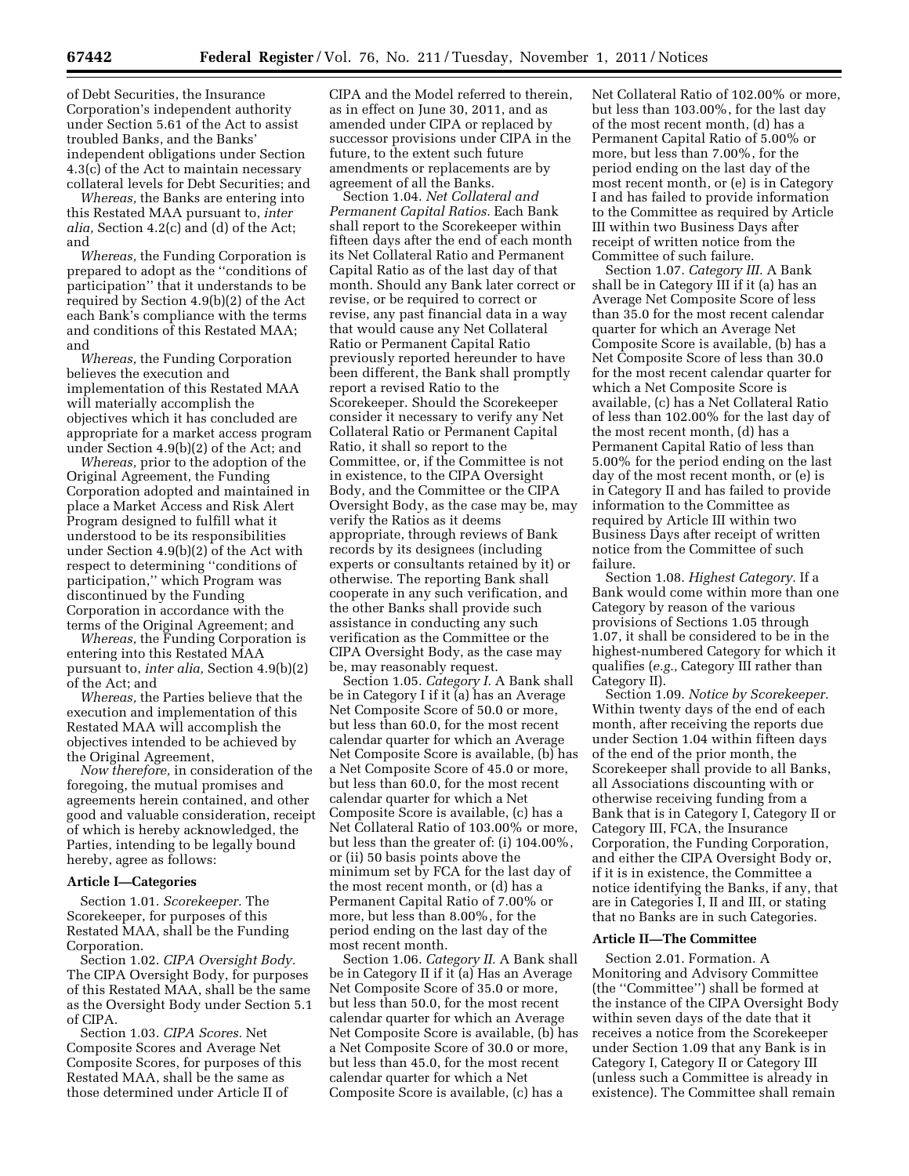of Debt Securities, the Insurance Corporation's independent authority under Section 5.61 of the Act to assist troubled Banks, and the Banks' independent obligations under Section 4.3(c) of the Act to maintain necessary collateral levels for Debt Securities; and

*Whereas,* the Banks are entering into this Restated MAA pursuant to, *inter alia,* Section 4.2(c) and (d) of the Act; and

*Whereas,* the Funding Corporation is prepared to adopt as the ''conditions of participation'' that it understands to be required by Section 4.9(b)(2) of the Act each Bank's compliance with the terms and conditions of this Restated MAA; and

*Whereas,* the Funding Corporation believes the execution and implementation of this Restated MAA will materially accomplish the objectives which it has concluded are appropriate for a market access program under Section 4.9(b)(2) of the Act; and

*Whereas,* prior to the adoption of the Original Agreement, the Funding Corporation adopted and maintained in place a Market Access and Risk Alert Program designed to fulfill what it understood to be its responsibilities under Section 4.9(b)(2) of the Act with respect to determining ''conditions of participation,'' which Program was discontinued by the Funding Corporation in accordance with the terms of the Original Agreement; and

*Whereas,* the Funding Corporation is entering into this Restated MAA pursuant to, *inter alia,* Section 4.9(b)(2) of the Act; and

*Whereas,* the Parties believe that the execution and implementation of this Restated MAA will accomplish the objectives intended to be achieved by the Original Agreement,

*Now therefore,* in consideration of the foregoing, the mutual promises and agreements herein contained, and other good and valuable consideration, receipt of which is hereby acknowledged, the Parties, intending to be legally bound hereby, agree as follows:

### **Article I—Categories**

Section 1.01. *Scorekeeper.* The Scorekeeper, for purposes of this Restated MAA, shall be the Funding Corporation.

Section 1.02. *CIPA Oversight Body.*  The CIPA Oversight Body, for purposes of this Restated MAA, shall be the same as the Oversight Body under Section 5.1 of CIPA.

Section 1.03. *CIPA Scores.* Net Composite Scores and Average Net Composite Scores, for purposes of this Restated MAA, shall be the same as those determined under Article II of

CIPA and the Model referred to therein, as in effect on June 30, 2011, and as amended under CIPA or replaced by successor provisions under CIPA in the future, to the extent such future amendments or replacements are by agreement of all the Banks.

Section 1.04. *Net Collateral and Permanent Capital Ratios.* Each Bank shall report to the Scorekeeper within fifteen days after the end of each month its Net Collateral Ratio and Permanent Capital Ratio as of the last day of that month. Should any Bank later correct or revise, or be required to correct or revise, any past financial data in a way that would cause any Net Collateral Ratio or Permanent Capital Ratio previously reported hereunder to have been different, the Bank shall promptly report a revised Ratio to the Scorekeeper. Should the Scorekeeper consider it necessary to verify any Net Collateral Ratio or Permanent Capital Ratio, it shall so report to the Committee, or, if the Committee is not in existence, to the CIPA Oversight Body, and the Committee or the CIPA Oversight Body, as the case may be, may verify the Ratios as it deems appropriate, through reviews of Bank records by its designees (including experts or consultants retained by it) or otherwise. The reporting Bank shall cooperate in any such verification, and the other Banks shall provide such assistance in conducting any such verification as the Committee or the CIPA Oversight Body, as the case may be, may reasonably request.

Section 1.05. *Category I.* A Bank shall be in Category I if it (a) has an Average Net Composite Score of 50.0 or more, but less than 60.0, for the most recent calendar quarter for which an Average Net Composite Score is available, (b) has a Net Composite Score of 45.0 or more, but less than 60.0, for the most recent calendar quarter for which a Net Composite Score is available, (c) has a Net Collateral Ratio of 103.00% or more, but less than the greater of: (i) 104.00%, or (ii) 50 basis points above the minimum set by FCA for the last day of the most recent month, or (d) has a Permanent Capital Ratio of 7.00% or more, but less than 8.00%, for the period ending on the last day of the most recent month.

Section 1.06. *Category II.* A Bank shall be in Category II if it (a) Has an Average Net Composite Score of 35.0 or more, but less than 50.0, for the most recent calendar quarter for which an Average Net Composite Score is available, (b) has a Net Composite Score of 30.0 or more, but less than 45.0, for the most recent calendar quarter for which a Net Composite Score is available, (c) has a

Net Collateral Ratio of 102.00% or more, but less than 103.00%, for the last day of the most recent month, (d) has a Permanent Capital Ratio of 5.00% or more, but less than 7.00%, for the period ending on the last day of the most recent month, or (e) is in Category I and has failed to provide information to the Committee as required by Article III within two Business Days after receipt of written notice from the Committee of such failure.

Section 1.07. *Category III.* A Bank shall be in Category III if it (a) has an Average Net Composite Score of less than 35.0 for the most recent calendar quarter for which an Average Net Composite Score is available, (b) has a Net Composite Score of less than 30.0 for the most recent calendar quarter for which a Net Composite Score is available, (c) has a Net Collateral Ratio of less than 102.00% for the last day of the most recent month, (d) has a Permanent Capital Ratio of less than 5.00% for the period ending on the last day of the most recent month, or (e) is in Category II and has failed to provide information to the Committee as required by Article III within two Business Days after receipt of written notice from the Committee of such failure.

Section 1.08. *Highest Category.* If a Bank would come within more than one Category by reason of the various provisions of Sections 1.05 through 1.07, it shall be considered to be in the highest-numbered Category for which it qualifies (*e.g.,* Category III rather than Category II).

Section 1.09. *Notice by Scorekeeper.*  Within twenty days of the end of each month, after receiving the reports due under Section 1.04 within fifteen days of the end of the prior month, the Scorekeeper shall provide to all Banks, all Associations discounting with or otherwise receiving funding from a Bank that is in Category I, Category II or Category III, FCA, the Insurance Corporation, the Funding Corporation, and either the CIPA Oversight Body or, if it is in existence, the Committee a notice identifying the Banks, if any, that are in Categories I, II and III, or stating that no Banks are in such Categories.

#### **Article II—The Committee**

Section 2.01. Formation. A Monitoring and Advisory Committee (the ''Committee'') shall be formed at the instance of the CIPA Oversight Body within seven days of the date that it receives a notice from the Scorekeeper under Section 1.09 that any Bank is in Category I, Category II or Category III (unless such a Committee is already in existence). The Committee shall remain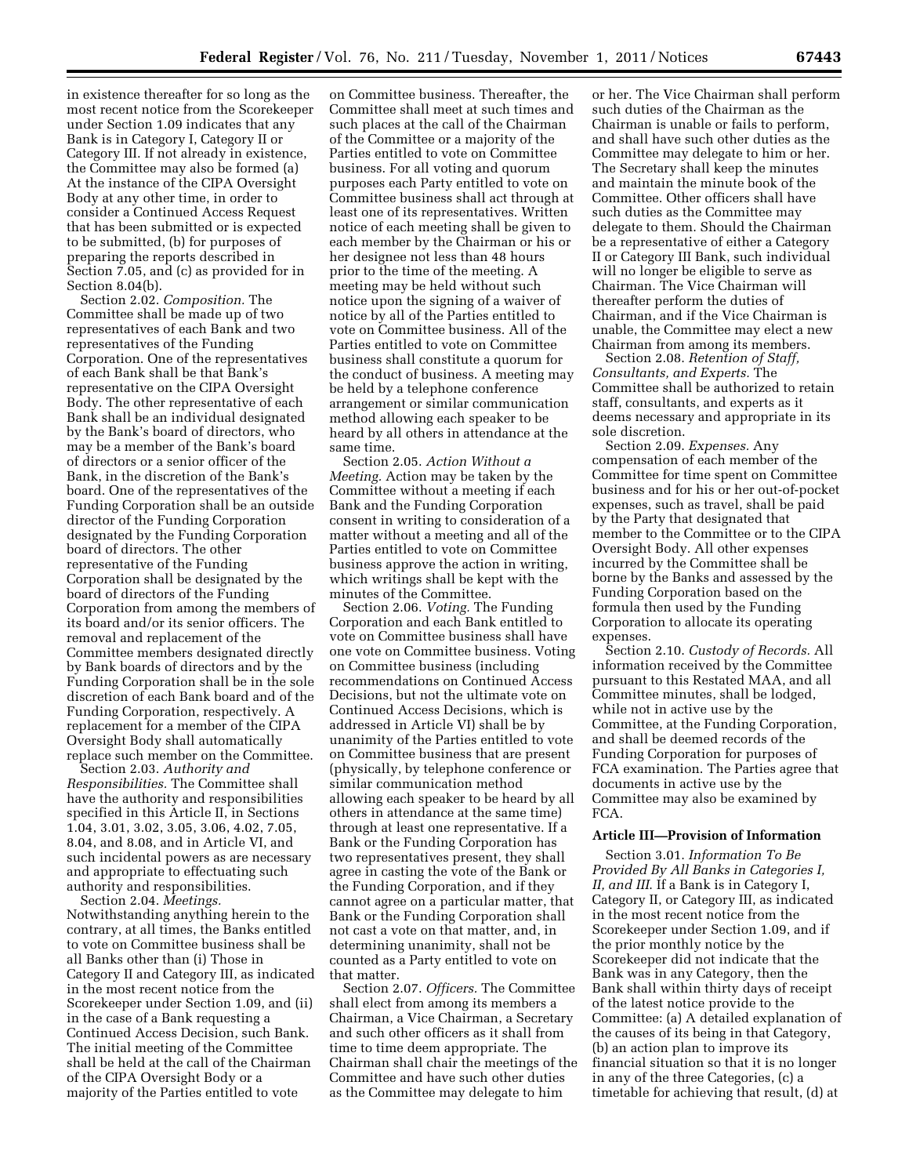in existence thereafter for so long as the most recent notice from the Scorekeeper under Section 1.09 indicates that any Bank is in Category I, Category II or Category III. If not already in existence, the Committee may also be formed (a) At the instance of the CIPA Oversight Body at any other time, in order to consider a Continued Access Request that has been submitted or is expected to be submitted, (b) for purposes of preparing the reports described in Section 7.05, and (c) as provided for in Section 8.04(b).

Section 2.02. *Composition.* The Committee shall be made up of two representatives of each Bank and two representatives of the Funding Corporation. One of the representatives of each Bank shall be that Bank's representative on the CIPA Oversight Body. The other representative of each Bank shall be an individual designated by the Bank's board of directors, who may be a member of the Bank's board of directors or a senior officer of the Bank, in the discretion of the Bank's board. One of the representatives of the Funding Corporation shall be an outside director of the Funding Corporation designated by the Funding Corporation board of directors. The other representative of the Funding Corporation shall be designated by the board of directors of the Funding Corporation from among the members of its board and/or its senior officers. The removal and replacement of the Committee members designated directly by Bank boards of directors and by the Funding Corporation shall be in the sole discretion of each Bank board and of the Funding Corporation, respectively. A replacement for a member of the CIPA Oversight Body shall automatically replace such member on the Committee.

Section 2.03. *Authority and Responsibilities.* The Committee shall have the authority and responsibilities specified in this Article II, in Sections 1.04, 3.01, 3.02, 3.05, 3.06, 4.02, 7.05, 8.04, and 8.08, and in Article VI, and such incidental powers as are necessary and appropriate to effectuating such authority and responsibilities.

Section 2.04. *Meetings.*  Notwithstanding anything herein to the contrary, at all times, the Banks entitled to vote on Committee business shall be all Banks other than (i) Those in Category II and Category III, as indicated in the most recent notice from the Scorekeeper under Section 1.09, and (ii) in the case of a Bank requesting a Continued Access Decision, such Bank. The initial meeting of the Committee shall be held at the call of the Chairman of the CIPA Oversight Body or a majority of the Parties entitled to vote

on Committee business. Thereafter, the Committee shall meet at such times and such places at the call of the Chairman of the Committee or a majority of the Parties entitled to vote on Committee business. For all voting and quorum purposes each Party entitled to vote on Committee business shall act through at least one of its representatives. Written notice of each meeting shall be given to each member by the Chairman or his or her designee not less than 48 hours prior to the time of the meeting. A meeting may be held without such notice upon the signing of a waiver of notice by all of the Parties entitled to vote on Committee business. All of the Parties entitled to vote on Committee business shall constitute a quorum for the conduct of business. A meeting may be held by a telephone conference arrangement or similar communication method allowing each speaker to be heard by all others in attendance at the same time.

Section 2.05. *Action Without a Meeting.* Action may be taken by the Committee without a meeting if each Bank and the Funding Corporation consent in writing to consideration of a matter without a meeting and all of the Parties entitled to vote on Committee business approve the action in writing, which writings shall be kept with the minutes of the Committee.

Section 2.06. *Voting.* The Funding Corporation and each Bank entitled to vote on Committee business shall have one vote on Committee business. Voting on Committee business (including recommendations on Continued Access Decisions, but not the ultimate vote on Continued Access Decisions, which is addressed in Article VI) shall be by unanimity of the Parties entitled to vote on Committee business that are present (physically, by telephone conference or similar communication method allowing each speaker to be heard by all others in attendance at the same time) through at least one representative. If a Bank or the Funding Corporation has two representatives present, they shall agree in casting the vote of the Bank or the Funding Corporation, and if they cannot agree on a particular matter, that Bank or the Funding Corporation shall not cast a vote on that matter, and, in determining unanimity, shall not be counted as a Party entitled to vote on that matter.

Section 2.07. *Officers.* The Committee shall elect from among its members a Chairman, a Vice Chairman, a Secretary and such other officers as it shall from time to time deem appropriate. The Chairman shall chair the meetings of the Committee and have such other duties as the Committee may delegate to him

or her. The Vice Chairman shall perform such duties of the Chairman as the Chairman is unable or fails to perform, and shall have such other duties as the Committee may delegate to him or her. The Secretary shall keep the minutes and maintain the minute book of the Committee. Other officers shall have such duties as the Committee may delegate to them. Should the Chairman be a representative of either a Category II or Category III Bank, such individual will no longer be eligible to serve as Chairman. The Vice Chairman will thereafter perform the duties of Chairman, and if the Vice Chairman is unable, the Committee may elect a new Chairman from among its members.

Section 2.08. *Retention of Staff, Consultants, and Experts.* The Committee shall be authorized to retain staff, consultants, and experts as it deems necessary and appropriate in its sole discretion.

Section 2.09. *Expenses.* Any compensation of each member of the Committee for time spent on Committee business and for his or her out-of-pocket expenses, such as travel, shall be paid by the Party that designated that member to the Committee or to the CIPA Oversight Body. All other expenses incurred by the Committee shall be borne by the Banks and assessed by the Funding Corporation based on the formula then used by the Funding Corporation to allocate its operating expenses.

Section 2.10. *Custody of Records.* All information received by the Committee pursuant to this Restated MAA, and all Committee minutes, shall be lodged, while not in active use by the Committee, at the Funding Corporation, and shall be deemed records of the Funding Corporation for purposes of FCA examination. The Parties agree that documents in active use by the Committee may also be examined by FCA.

#### **Article III—Provision of Information**

Section 3.01. *Information To Be Provided By All Banks in Categories I, II, and III*. If a Bank is in Category I, Category II, or Category III, as indicated in the most recent notice from the Scorekeeper under Section 1.09, and if the prior monthly notice by the Scorekeeper did not indicate that the Bank was in any Category, then the Bank shall within thirty days of receipt of the latest notice provide to the Committee: (a) A detailed explanation of the causes of its being in that Category, (b) an action plan to improve its financial situation so that it is no longer in any of the three Categories, (c) a timetable for achieving that result, (d) at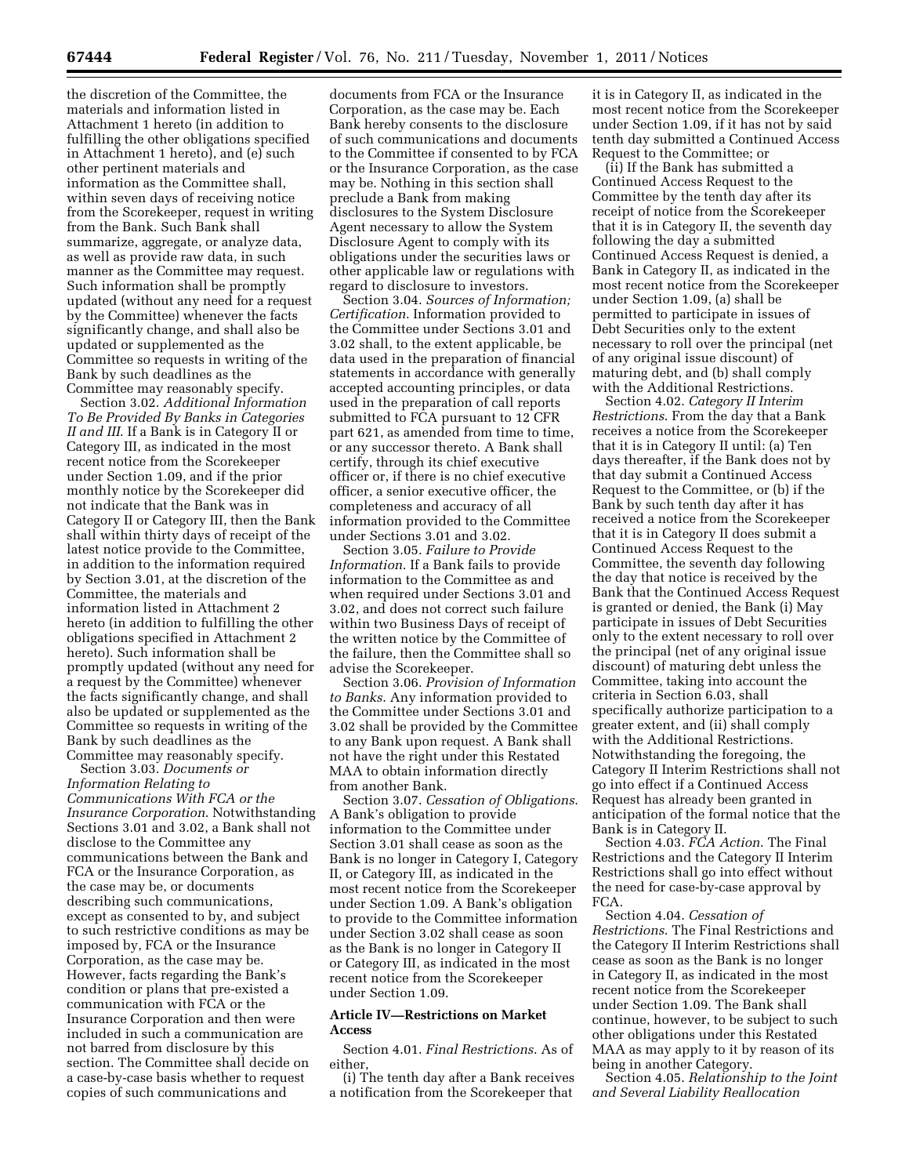the discretion of the Committee, the materials and information listed in Attachment 1 hereto (in addition to fulfilling the other obligations specified in Attachment 1 hereto), and (e) such other pertinent materials and information as the Committee shall, within seven days of receiving notice from the Scorekeeper, request in writing from the Bank. Such Bank shall summarize, aggregate, or analyze data, as well as provide raw data, in such manner as the Committee may request. Such information shall be promptly updated (without any need for a request by the Committee) whenever the facts significantly change, and shall also be updated or supplemented as the Committee so requests in writing of the Bank by such deadlines as the Committee may reasonably specify.

Section 3.02. *Additional Information To Be Provided By Banks in Categories II and III*. If a Bank is in Category II or Category III, as indicated in the most recent notice from the Scorekeeper under Section 1.09, and if the prior monthly notice by the Scorekeeper did not indicate that the Bank was in Category II or Category III, then the Bank shall within thirty days of receipt of the latest notice provide to the Committee, in addition to the information required by Section 3.01, at the discretion of the Committee, the materials and information listed in Attachment 2 hereto (in addition to fulfilling the other obligations specified in Attachment 2 hereto). Such information shall be promptly updated (without any need for a request by the Committee) whenever the facts significantly change, and shall also be updated or supplemented as the Committee so requests in writing of the Bank by such deadlines as the Committee may reasonably specify.

Section 3.03. *Documents or Information Relating to Communications With FCA or the Insurance Corporation*. Notwithstanding Sections 3.01 and 3.02, a Bank shall not disclose to the Committee any communications between the Bank and FCA or the Insurance Corporation, as the case may be, or documents describing such communications, except as consented to by, and subject to such restrictive conditions as may be imposed by, FCA or the Insurance Corporation, as the case may be. However, facts regarding the Bank's condition or plans that pre-existed a communication with FCA or the Insurance Corporation and then were included in such a communication are not barred from disclosure by this section. The Committee shall decide on a case-by-case basis whether to request copies of such communications and

documents from FCA or the Insurance Corporation, as the case may be. Each Bank hereby consents to the disclosure of such communications and documents to the Committee if consented to by FCA or the Insurance Corporation, as the case may be. Nothing in this section shall preclude a Bank from making disclosures to the System Disclosure Agent necessary to allow the System Disclosure Agent to comply with its obligations under the securities laws or other applicable law or regulations with regard to disclosure to investors.

Section 3.04. *Sources of Information; Certification*. Information provided to the Committee under Sections 3.01 and 3.02 shall, to the extent applicable, be data used in the preparation of financial statements in accordance with generally accepted accounting principles, or data used in the preparation of call reports submitted to FCA pursuant to 12 CFR part 621, as amended from time to time, or any successor thereto. A Bank shall certify, through its chief executive officer or, if there is no chief executive officer, a senior executive officer, the completeness and accuracy of all information provided to the Committee under Sections 3.01 and 3.02.

Section 3.05. *Failure to Provide Information*. If a Bank fails to provide information to the Committee as and when required under Sections 3.01 and 3.02, and does not correct such failure within two Business Days of receipt of the written notice by the Committee of the failure, then the Committee shall so advise the Scorekeeper.

Section 3.06. *Provision of Information to Banks*. Any information provided to the Committee under Sections 3.01 and 3.02 shall be provided by the Committee to any Bank upon request. A Bank shall not have the right under this Restated MAA to obtain information directly from another Bank.

Section 3.07. *Cessation of Obligations*. A Bank's obligation to provide information to the Committee under Section 3.01 shall cease as soon as the Bank is no longer in Category I, Category II, or Category III, as indicated in the most recent notice from the Scorekeeper under Section 1.09. A Bank's obligation to provide to the Committee information under Section 3.02 shall cease as soon as the Bank is no longer in Category II or Category III, as indicated in the most recent notice from the Scorekeeper under Section 1.09.

### **Article IV—Restrictions on Market Access**

Section 4.01. *Final Restrictions*. As of either,

(i) The tenth day after a Bank receives a notification from the Scorekeeper that it is in Category II, as indicated in the most recent notice from the Scorekeeper under Section 1.09, if it has not by said tenth day submitted a Continued Access Request to the Committee; or

(ii) If the Bank has submitted a Continued Access Request to the Committee by the tenth day after its receipt of notice from the Scorekeeper that it is in Category II, the seventh day following the day a submitted Continued Access Request is denied, a Bank in Category II, as indicated in the most recent notice from the Scorekeeper under Section 1.09, (a) shall be permitted to participate in issues of Debt Securities only to the extent necessary to roll over the principal (net of any original issue discount) of maturing debt, and (b) shall comply with the Additional Restrictions.

Section 4.02. *Category II Interim Restrictions*. From the day that a Bank receives a notice from the Scorekeeper that it is in Category II until: (a) Ten days thereafter, if the Bank does not by that day submit a Continued Access Request to the Committee, or (b) if the Bank by such tenth day after it has received a notice from the Scorekeeper that it is in Category II does submit a Continued Access Request to the Committee, the seventh day following the day that notice is received by the Bank that the Continued Access Request is granted or denied, the Bank (i) May participate in issues of Debt Securities only to the extent necessary to roll over the principal (net of any original issue discount) of maturing debt unless the Committee, taking into account the criteria in Section 6.03, shall specifically authorize participation to a greater extent, and (ii) shall comply with the Additional Restrictions. Notwithstanding the foregoing, the Category II Interim Restrictions shall not go into effect if a Continued Access Request has already been granted in anticipation of the formal notice that the Bank is in Category II.

Section 4.03. *FCA Action*. The Final Restrictions and the Category II Interim Restrictions shall go into effect without the need for case-by-case approval by FCA.

Section 4.04. *Cessation of Restrictions*. The Final Restrictions and the Category II Interim Restrictions shall cease as soon as the Bank is no longer in Category II, as indicated in the most recent notice from the Scorekeeper under Section 1.09. The Bank shall continue, however, to be subject to such other obligations under this Restated MAA as may apply to it by reason of its being in another Category.

Section 4.05. *Relationship to the Joint and Several Liability Reallocation*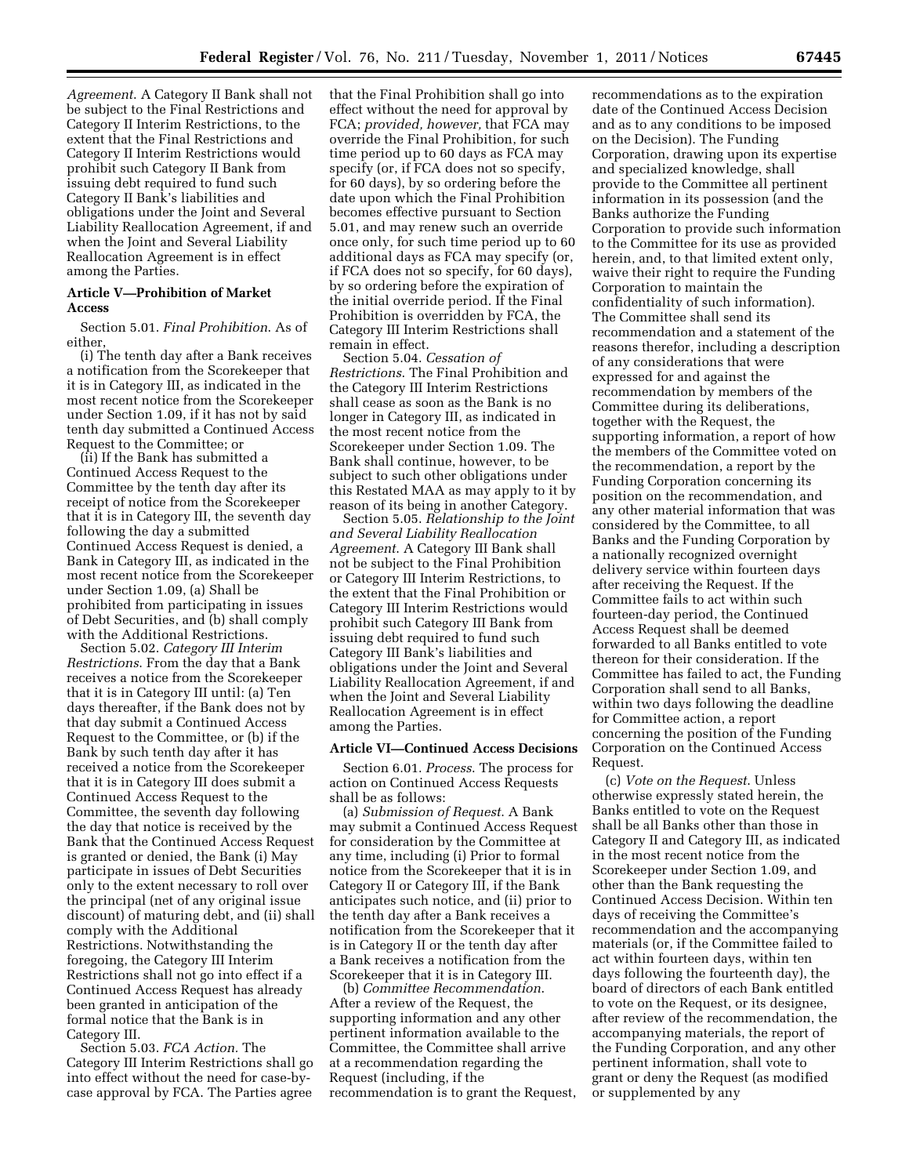*Agreement*. A Category II Bank shall not be subject to the Final Restrictions and Category II Interim Restrictions, to the extent that the Final Restrictions and Category II Interim Restrictions would prohibit such Category II Bank from issuing debt required to fund such Category II Bank's liabilities and obligations under the Joint and Several Liability Reallocation Agreement, if and when the Joint and Several Liability Reallocation Agreement is in effect among the Parties.

### **Article V—Prohibition of Market Access**

Section 5.01. *Final Prohibition*. As of either,

(i) The tenth day after a Bank receives a notification from the Scorekeeper that it is in Category III, as indicated in the most recent notice from the Scorekeeper under Section 1.09, if it has not by said tenth day submitted a Continued Access Request to the Committee; or

(ii) If the Bank has submitted a Continued Access Request to the Committee by the tenth day after its receipt of notice from the Scorekeeper that it is in Category III, the seventh day following the day a submitted Continued Access Request is denied, a Bank in Category III, as indicated in the most recent notice from the Scorekeeper under Section 1.09, (a) Shall be prohibited from participating in issues of Debt Securities, and (b) shall comply with the Additional Restrictions.

Section 5.02. *Category III Interim Restrictions*. From the day that a Bank receives a notice from the Scorekeeper that it is in Category III until: (a) Ten days thereafter, if the Bank does not by that day submit a Continued Access Request to the Committee, or (b) if the Bank by such tenth day after it has received a notice from the Scorekeeper that it is in Category III does submit a Continued Access Request to the Committee, the seventh day following the day that notice is received by the Bank that the Continued Access Request is granted or denied, the Bank (i) May participate in issues of Debt Securities only to the extent necessary to roll over the principal (net of any original issue discount) of maturing debt, and (ii) shall comply with the Additional Restrictions. Notwithstanding the foregoing, the Category III Interim Restrictions shall not go into effect if a Continued Access Request has already been granted in anticipation of the formal notice that the Bank is in Category III.

Section 5.03. *FCA Action.* The Category III Interim Restrictions shall go into effect without the need for case-bycase approval by FCA. The Parties agree

that the Final Prohibition shall go into effect without the need for approval by FCA; *provided, however,* that FCA may override the Final Prohibition, for such time period up to 60 days as FCA may specify (or, if FCA does not so specify, for 60 days), by so ordering before the date upon which the Final Prohibition becomes effective pursuant to Section 5.01, and may renew such an override once only, for such time period up to 60 additional days as FCA may specify (or, if FCA does not so specify, for 60 days), by so ordering before the expiration of the initial override period. If the Final Prohibition is overridden by FCA, the Category III Interim Restrictions shall remain in effect.

Section 5.04. *Cessation of Restrictions*. The Final Prohibition and the Category III Interim Restrictions shall cease as soon as the Bank is no longer in Category III, as indicated in the most recent notice from the Scorekeeper under Section 1.09. The Bank shall continue, however, to be subject to such other obligations under this Restated MAA as may apply to it by reason of its being in another Category.

Section 5.05. *Relationship to the Joint and Several Liability Reallocation Agreement*. A Category III Bank shall not be subject to the Final Prohibition or Category III Interim Restrictions, to the extent that the Final Prohibition or Category III Interim Restrictions would prohibit such Category III Bank from issuing debt required to fund such Category III Bank's liabilities and obligations under the Joint and Several Liability Reallocation Agreement, if and when the Joint and Several Liability Reallocation Agreement is in effect among the Parties.

### **Article VI—Continued Access Decisions**

Section 6.01. *Process*. The process for action on Continued Access Requests shall be as follows:

(a) *Submission of Request*. A Bank may submit a Continued Access Request for consideration by the Committee at any time, including (i) Prior to formal notice from the Scorekeeper that it is in Category II or Category III, if the Bank anticipates such notice, and (ii) prior to the tenth day after a Bank receives a notification from the Scorekeeper that it is in Category II or the tenth day after a Bank receives a notification from the Scorekeeper that it is in Category III.

(b) *Committee Recommendation*. After a review of the Request, the supporting information and any other pertinent information available to the Committee, the Committee shall arrive at a recommendation regarding the Request (including, if the recommendation is to grant the Request, recommendations as to the expiration date of the Continued Access Decision and as to any conditions to be imposed on the Decision). The Funding Corporation, drawing upon its expertise and specialized knowledge, shall provide to the Committee all pertinent information in its possession (and the Banks authorize the Funding Corporation to provide such information to the Committee for its use as provided herein, and, to that limited extent only, waive their right to require the Funding Corporation to maintain the confidentiality of such information). The Committee shall send its recommendation and a statement of the reasons therefor, including a description of any considerations that were expressed for and against the recommendation by members of the Committee during its deliberations, together with the Request, the supporting information, a report of how the members of the Committee voted on the recommendation, a report by the Funding Corporation concerning its position on the recommendation, and any other material information that was considered by the Committee, to all Banks and the Funding Corporation by a nationally recognized overnight delivery service within fourteen days after receiving the Request. If the Committee fails to act within such fourteen-day period, the Continued Access Request shall be deemed forwarded to all Banks entitled to vote thereon for their consideration. If the Committee has failed to act, the Funding Corporation shall send to all Banks, within two days following the deadline for Committee action, a report concerning the position of the Funding Corporation on the Continued Access Request.

(c) *Vote on the Request*. Unless otherwise expressly stated herein, the Banks entitled to vote on the Request shall be all Banks other than those in Category II and Category III, as indicated in the most recent notice from the Scorekeeper under Section 1.09, and other than the Bank requesting the Continued Access Decision. Within ten days of receiving the Committee's recommendation and the accompanying materials (or, if the Committee failed to act within fourteen days, within ten days following the fourteenth day), the board of directors of each Bank entitled to vote on the Request, or its designee, after review of the recommendation, the accompanying materials, the report of the Funding Corporation, and any other pertinent information, shall vote to grant or deny the Request (as modified or supplemented by any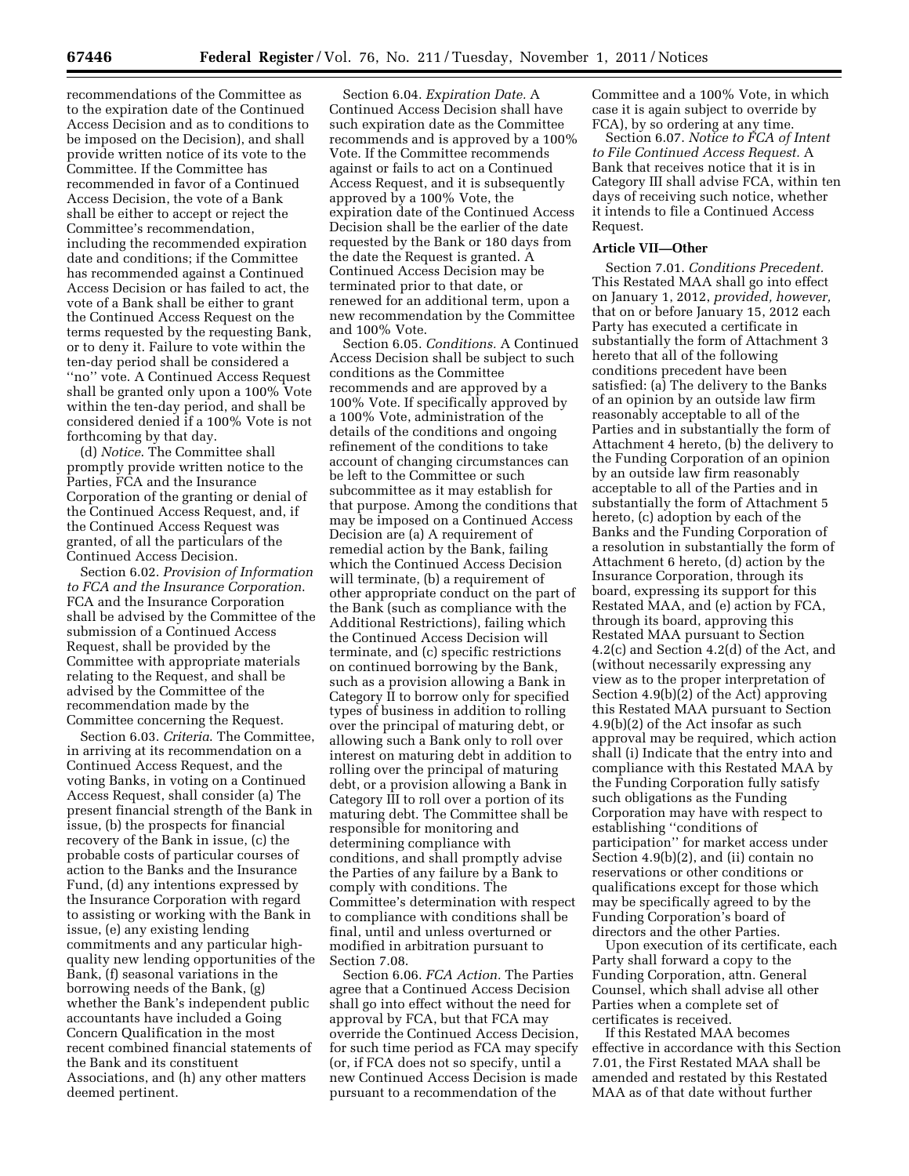recommendations of the Committee as to the expiration date of the Continued Access Decision and as to conditions to be imposed on the Decision), and shall provide written notice of its vote to the Committee. If the Committee has recommended in favor of a Continued Access Decision, the vote of a Bank shall be either to accept or reject the Committee's recommendation, including the recommended expiration date and conditions; if the Committee has recommended against a Continued Access Decision or has failed to act, the vote of a Bank shall be either to grant the Continued Access Request on the terms requested by the requesting Bank, or to deny it. Failure to vote within the ten-day period shall be considered a ''no'' vote. A Continued Access Request shall be granted only upon a 100% Vote within the ten-day period, and shall be considered denied if a 100% Vote is not forthcoming by that day.

(d) *Notice*. The Committee shall promptly provide written notice to the Parties, FCA and the Insurance Corporation of the granting or denial of the Continued Access Request, and, if the Continued Access Request was granted, of all the particulars of the Continued Access Decision.

Section 6.02. *Provision of Information to FCA and the Insurance Corporation*. FCA and the Insurance Corporation shall be advised by the Committee of the submission of a Continued Access Request, shall be provided by the Committee with appropriate materials relating to the Request, and shall be advised by the Committee of the recommendation made by the Committee concerning the Request.

Section 6.03. *Criteria*. The Committee, in arriving at its recommendation on a Continued Access Request, and the voting Banks, in voting on a Continued Access Request, shall consider (a) The present financial strength of the Bank in issue, (b) the prospects for financial recovery of the Bank in issue, (c) the probable costs of particular courses of action to the Banks and the Insurance Fund, (d) any intentions expressed by the Insurance Corporation with regard to assisting or working with the Bank in issue, (e) any existing lending commitments and any particular highquality new lending opportunities of the Bank, (f) seasonal variations in the borrowing needs of the Bank, (g) whether the Bank's independent public accountants have included a Going Concern Qualification in the most recent combined financial statements of the Bank and its constituent Associations, and (h) any other matters deemed pertinent.

Section 6.04. *Expiration Date.* A Continued Access Decision shall have such expiration date as the Committee recommends and is approved by a 100% Vote. If the Committee recommends against or fails to act on a Continued Access Request, and it is subsequently approved by a 100% Vote, the expiration date of the Continued Access Decision shall be the earlier of the date requested by the Bank or 180 days from the date the Request is granted. A Continued Access Decision may be terminated prior to that date, or renewed for an additional term, upon a new recommendation by the Committee and 100% Vote.

Section 6.05. *Conditions.* A Continued Access Decision shall be subject to such conditions as the Committee recommends and are approved by a 100% Vote. If specifically approved by a 100% Vote, administration of the details of the conditions and ongoing refinement of the conditions to take account of changing circumstances can be left to the Committee or such subcommittee as it may establish for that purpose. Among the conditions that may be imposed on a Continued Access Decision are (a) A requirement of remedial action by the Bank, failing which the Continued Access Decision will terminate, (b) a requirement of other appropriate conduct on the part of the Bank (such as compliance with the Additional Restrictions), failing which the Continued Access Decision will terminate, and (c) specific restrictions on continued borrowing by the Bank, such as a provision allowing a Bank in Category II to borrow only for specified types of business in addition to rolling over the principal of maturing debt, or allowing such a Bank only to roll over interest on maturing debt in addition to rolling over the principal of maturing debt, or a provision allowing a Bank in Category III to roll over a portion of its maturing debt. The Committee shall be responsible for monitoring and determining compliance with conditions, and shall promptly advise the Parties of any failure by a Bank to comply with conditions. The Committee's determination with respect to compliance with conditions shall be final, until and unless overturned or modified in arbitration pursuant to Section 7.08.

Section 6.06. *FCA Action.* The Parties agree that a Continued Access Decision shall go into effect without the need for approval by FCA, but that FCA may override the Continued Access Decision, for such time period as FCA may specify (or, if FCA does not so specify, until a new Continued Access Decision is made pursuant to a recommendation of the

Committee and a 100% Vote, in which case it is again subject to override by FCA), by so ordering at any time.

Section 6.07. *Notice to FCA of Intent to File Continued Access Request.* A Bank that receives notice that it is in Category III shall advise FCA, within ten days of receiving such notice, whether it intends to file a Continued Access Request.

### **Article VII—Other**

Section 7.01. *Conditions Precedent.*  This Restated MAA shall go into effect on January 1, 2012, *provided, however,*  that on or before January 15, 2012 each Party has executed a certificate in substantially the form of Attachment 3 hereto that all of the following conditions precedent have been satisfied: (a) The delivery to the Banks of an opinion by an outside law firm reasonably acceptable to all of the Parties and in substantially the form of Attachment 4 hereto, (b) the delivery to the Funding Corporation of an opinion by an outside law firm reasonably acceptable to all of the Parties and in substantially the form of Attachment 5 hereto, (c) adoption by each of the Banks and the Funding Corporation of a resolution in substantially the form of Attachment 6 hereto, (d) action by the Insurance Corporation, through its board, expressing its support for this Restated MAA, and (e) action by FCA, through its board, approving this Restated MAA pursuant to Section 4.2(c) and Section 4.2(d) of the Act, and (without necessarily expressing any view as to the proper interpretation of Section 4.9(b)(2) of the Act) approving this Restated MAA pursuant to Section 4.9(b)(2) of the Act insofar as such approval may be required, which action shall (i) Indicate that the entry into and compliance with this Restated MAA by the Funding Corporation fully satisfy such obligations as the Funding Corporation may have with respect to establishing ''conditions of participation'' for market access under Section 4.9(b)(2), and (ii) contain no reservations or other conditions or qualifications except for those which may be specifically agreed to by the Funding Corporation's board of directors and the other Parties.

Upon execution of its certificate, each Party shall forward a copy to the Funding Corporation, attn. General Counsel, which shall advise all other Parties when a complete set of certificates is received.

If this Restated MAA becomes effective in accordance with this Section 7.01, the First Restated MAA shall be amended and restated by this Restated MAA as of that date without further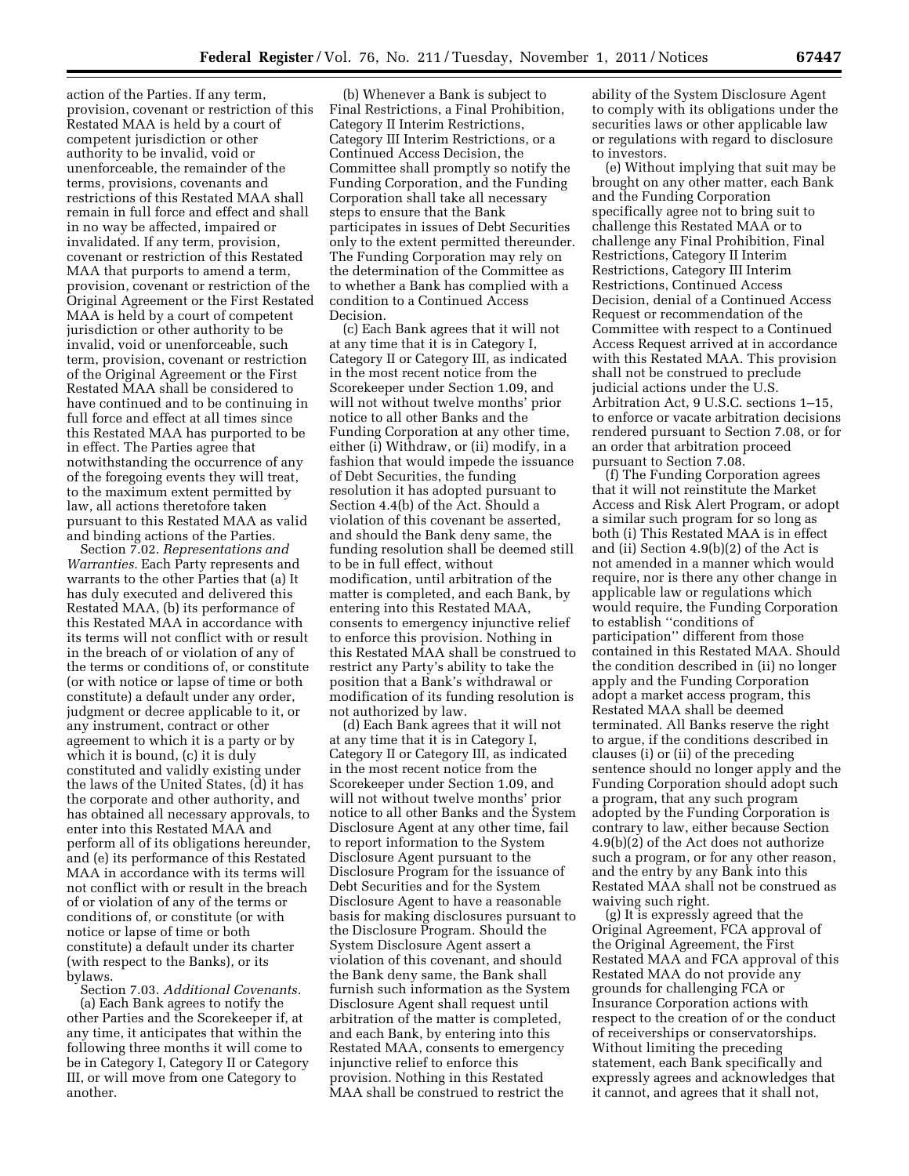action of the Parties. If any term, provision, covenant or restriction of this Restated MAA is held by a court of competent jurisdiction or other authority to be invalid, void or unenforceable, the remainder of the terms, provisions, covenants and restrictions of this Restated MAA shall remain in full force and effect and shall in no way be affected, impaired or invalidated. If any term, provision, covenant or restriction of this Restated MAA that purports to amend a term, provision, covenant or restriction of the Original Agreement or the First Restated MAA is held by a court of competent jurisdiction or other authority to be invalid, void or unenforceable, such term, provision, covenant or restriction of the Original Agreement or the First Restated MAA shall be considered to have continued and to be continuing in full force and effect at all times since this Restated MAA has purported to be in effect. The Parties agree that notwithstanding the occurrence of any of the foregoing events they will treat, to the maximum extent permitted by law, all actions theretofore taken pursuant to this Restated MAA as valid and binding actions of the Parties.

Section 7.02. *Representations and Warranties.* Each Party represents and warrants to the other Parties that (a) It has duly executed and delivered this Restated MAA, (b) its performance of this Restated MAA in accordance with its terms will not conflict with or result in the breach of or violation of any of the terms or conditions of, or constitute (or with notice or lapse of time or both constitute) a default under any order, judgment or decree applicable to it, or any instrument, contract or other agreement to which it is a party or by which it is bound, (c) it is duly constituted and validly existing under the laws of the United States, (d) it has the corporate and other authority, and has obtained all necessary approvals, to enter into this Restated MAA and perform all of its obligations hereunder, and (e) its performance of this Restated MAA in accordance with its terms will not conflict with or result in the breach of or violation of any of the terms or conditions of, or constitute (or with notice or lapse of time or both constitute) a default under its charter (with respect to the Banks), or its bylaws.

Section 7.03. *Additional Covenants.*  (a) Each Bank agrees to notify the other Parties and the Scorekeeper if, at any time, it anticipates that within the following three months it will come to be in Category I, Category II or Category III, or will move from one Category to another.

(b) Whenever a Bank is subject to Final Restrictions, a Final Prohibition, Category II Interim Restrictions, Category III Interim Restrictions, or a Continued Access Decision, the Committee shall promptly so notify the Funding Corporation, and the Funding Corporation shall take all necessary steps to ensure that the Bank participates in issues of Debt Securities only to the extent permitted thereunder. The Funding Corporation may rely on the determination of the Committee as to whether a Bank has complied with a condition to a Continued Access Decision.

(c) Each Bank agrees that it will not at any time that it is in Category I, Category II or Category III, as indicated in the most recent notice from the Scorekeeper under Section 1.09, and will not without twelve months' prior notice to all other Banks and the Funding Corporation at any other time, either (i) Withdraw, or (ii) modify, in a fashion that would impede the issuance of Debt Securities, the funding resolution it has adopted pursuant to Section 4.4(b) of the Act. Should a violation of this covenant be asserted, and should the Bank deny same, the funding resolution shall be deemed still to be in full effect, without modification, until arbitration of the matter is completed, and each Bank, by entering into this Restated MAA, consents to emergency injunctive relief to enforce this provision. Nothing in this Restated MAA shall be construed to restrict any Party's ability to take the position that a Bank's withdrawal or modification of its funding resolution is not authorized by law.

(d) Each Bank agrees that it will not at any time that it is in Category I, Category II or Category III, as indicated in the most recent notice from the Scorekeeper under Section 1.09, and will not without twelve months' prior notice to all other Banks and the System Disclosure Agent at any other time, fail to report information to the System Disclosure Agent pursuant to the Disclosure Program for the issuance of Debt Securities and for the System Disclosure Agent to have a reasonable basis for making disclosures pursuant to the Disclosure Program. Should the System Disclosure Agent assert a violation of this covenant, and should the Bank deny same, the Bank shall furnish such information as the System Disclosure Agent shall request until arbitration of the matter is completed, and each Bank, by entering into this Restated MAA, consents to emergency injunctive relief to enforce this provision. Nothing in this Restated MAA shall be construed to restrict the

ability of the System Disclosure Agent to comply with its obligations under the securities laws or other applicable law or regulations with regard to disclosure to investors.

(e) Without implying that suit may be brought on any other matter, each Bank and the Funding Corporation specifically agree not to bring suit to challenge this Restated MAA or to challenge any Final Prohibition, Final Restrictions, Category II Interim Restrictions, Category III Interim Restrictions, Continued Access Decision, denial of a Continued Access Request or recommendation of the Committee with respect to a Continued Access Request arrived at in accordance with this Restated MAA. This provision shall not be construed to preclude judicial actions under the U.S. Arbitration Act, 9 U.S.C. sections 1–15, to enforce or vacate arbitration decisions rendered pursuant to Section 7.08, or for an order that arbitration proceed pursuant to Section 7.08.

(f) The Funding Corporation agrees that it will not reinstitute the Market Access and Risk Alert Program, or adopt a similar such program for so long as both (i) This Restated MAA is in effect and (ii) Section 4.9(b)(2) of the Act is not amended in a manner which would require, nor is there any other change in applicable law or regulations which would require, the Funding Corporation to establish ''conditions of participation'' different from those contained in this Restated MAA. Should the condition described in (ii) no longer apply and the Funding Corporation adopt a market access program, this Restated MAA shall be deemed terminated. All Banks reserve the right to argue, if the conditions described in clauses (i) or (ii) of the preceding sentence should no longer apply and the Funding Corporation should adopt such a program, that any such program adopted by the Funding Corporation is contrary to law, either because Section 4.9(b)(2) of the Act does not authorize such a program, or for any other reason, and the entry by any Bank into this Restated MAA shall not be construed as waiving such right.

(g) It is expressly agreed that the Original Agreement, FCA approval of the Original Agreement, the First Restated MAA and FCA approval of this Restated MAA do not provide any grounds for challenging FCA or Insurance Corporation actions with respect to the creation of or the conduct of receiverships or conservatorships. Without limiting the preceding statement, each Bank specifically and expressly agrees and acknowledges that it cannot, and agrees that it shall not,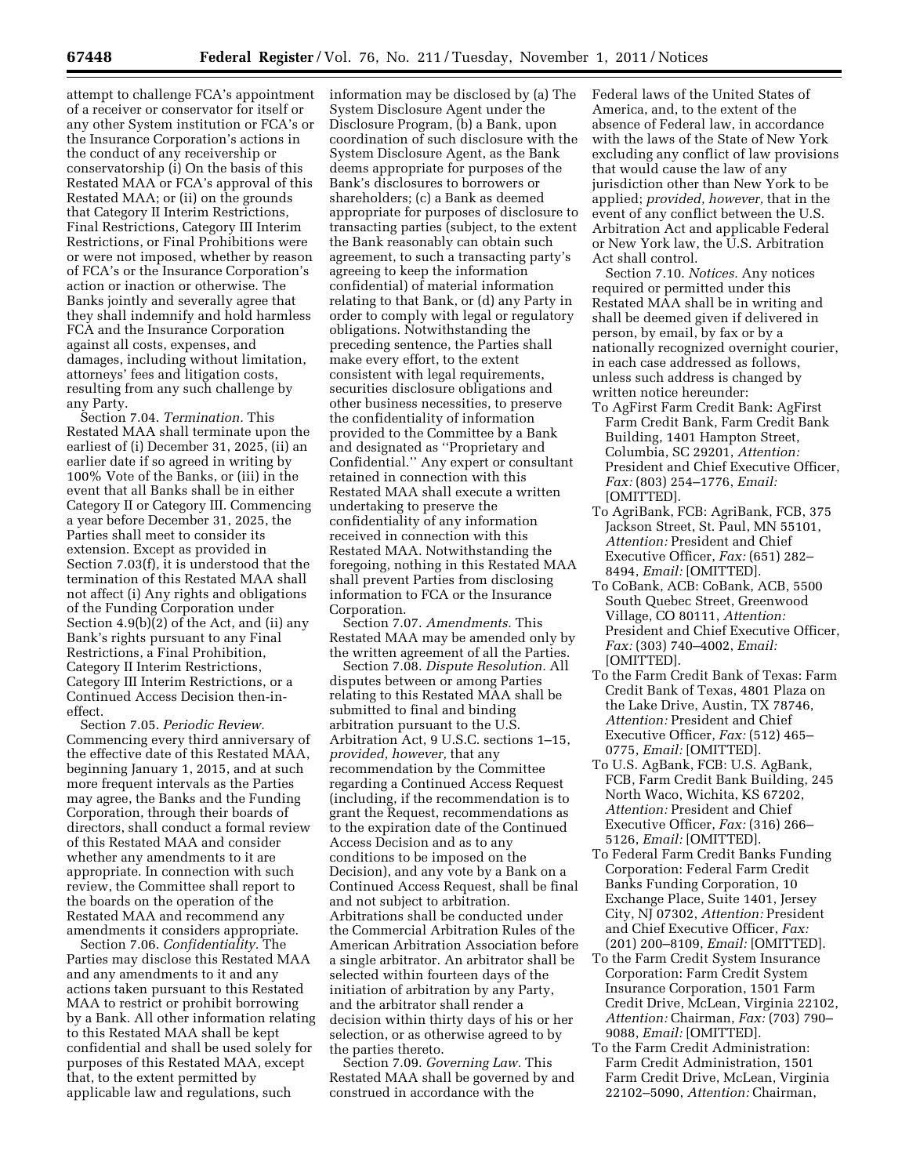attempt to challenge FCA's appointment of a receiver or conservator for itself or any other System institution or FCA's or the Insurance Corporation's actions in the conduct of any receivership or conservatorship (i) On the basis of this Restated MAA or FCA's approval of this Restated MAA; or (ii) on the grounds that Category II Interim Restrictions, Final Restrictions, Category III Interim Restrictions, or Final Prohibitions were or were not imposed, whether by reason of FCA's or the Insurance Corporation's action or inaction or otherwise. The Banks jointly and severally agree that they shall indemnify and hold harmless FCA and the Insurance Corporation against all costs, expenses, and damages, including without limitation, attorneys' fees and litigation costs, resulting from any such challenge by any Party.

Section 7.04. *Termination.* This Restated MAA shall terminate upon the earliest of (i) December 31, 2025, (ii) an earlier date if so agreed in writing by 100% Vote of the Banks, or (iii) in the event that all Banks shall be in either Category II or Category III. Commencing a year before December 31, 2025, the Parties shall meet to consider its extension. Except as provided in Section 7.03(f), it is understood that the termination of this Restated MAA shall not affect (i) Any rights and obligations of the Funding Corporation under Section 4.9(b)(2) of the Act, and (ii) any Bank's rights pursuant to any Final Restrictions, a Final Prohibition, Category II Interim Restrictions, Category III Interim Restrictions, or a Continued Access Decision then-ineffect.

Section 7.05. *Periodic Review.*  Commencing every third anniversary of the effective date of this Restated MAA, beginning January 1, 2015, and at such more frequent intervals as the Parties may agree, the Banks and the Funding Corporation, through their boards of directors, shall conduct a formal review of this Restated MAA and consider whether any amendments to it are appropriate. In connection with such review, the Committee shall report to the boards on the operation of the Restated MAA and recommend any amendments it considers appropriate.

Section 7.06. *Confidentiality.* The Parties may disclose this Restated MAA and any amendments to it and any actions taken pursuant to this Restated MAA to restrict or prohibit borrowing by a Bank. All other information relating to this Restated MAA shall be kept confidential and shall be used solely for purposes of this Restated MAA, except that, to the extent permitted by applicable law and regulations, such

information may be disclosed by (a) The System Disclosure Agent under the Disclosure Program, (b) a Bank, upon coordination of such disclosure with the System Disclosure Agent, as the Bank deems appropriate for purposes of the Bank's disclosures to borrowers or shareholders; (c) a Bank as deemed appropriate for purposes of disclosure to transacting parties (subject, to the extent the Bank reasonably can obtain such agreement, to such a transacting party's agreeing to keep the information confidential) of material information relating to that Bank, or (d) any Party in order to comply with legal or regulatory obligations. Notwithstanding the preceding sentence, the Parties shall make every effort, to the extent consistent with legal requirements, securities disclosure obligations and other business necessities, to preserve the confidentiality of information provided to the Committee by a Bank and designated as ''Proprietary and Confidential.'' Any expert or consultant retained in connection with this Restated MAA shall execute a written undertaking to preserve the confidentiality of any information received in connection with this Restated MAA. Notwithstanding the foregoing, nothing in this Restated MAA shall prevent Parties from disclosing information to FCA or the Insurance Corporation.

Section 7.07. *Amendments.* This Restated MAA may be amended only by the written agreement of all the Parties.

Section 7.08. *Dispute Resolution.* All disputes between or among Parties relating to this Restated MAA shall be submitted to final and binding arbitration pursuant to the U.S. Arbitration Act, 9 U.S.C. sections 1–15, *provided, however,* that any recommendation by the Committee regarding a Continued Access Request (including, if the recommendation is to grant the Request, recommendations as to the expiration date of the Continued Access Decision and as to any conditions to be imposed on the Decision), and any vote by a Bank on a Continued Access Request, shall be final and not subject to arbitration. Arbitrations shall be conducted under the Commercial Arbitration Rules of the American Arbitration Association before a single arbitrator. An arbitrator shall be selected within fourteen days of the initiation of arbitration by any Party, and the arbitrator shall render a decision within thirty days of his or her selection, or as otherwise agreed to by the parties thereto.

Section 7.09. *Governing Law.* This Restated MAA shall be governed by and construed in accordance with the

Federal laws of the United States of America, and, to the extent of the absence of Federal law, in accordance with the laws of the State of New York excluding any conflict of law provisions that would cause the law of any jurisdiction other than New York to be applied; *provided, however,* that in the event of any conflict between the U.S. Arbitration Act and applicable Federal or New York law, the U.S. Arbitration Act shall control.

Section 7.10. *Notices.* Any notices required or permitted under this Restated MAA shall be in writing and shall be deemed given if delivered in person, by email, by fax or by a nationally recognized overnight courier, in each case addressed as follows, unless such address is changed by written notice hereunder:

- To AgFirst Farm Credit Bank: AgFirst Farm Credit Bank, Farm Credit Bank Building, 1401 Hampton Street, Columbia, SC 29201, *Attention:*  President and Chief Executive Officer, *Fax:* (803) 254–1776, *Email:*  [OMITTED].
- To AgriBank, FCB: AgriBank, FCB, 375 Jackson Street, St. Paul, MN 55101, *Attention:* President and Chief Executive Officer, *Fax:* (651) 282– 8494, *Email:* [OMITTED].
- To CoBank, ACB: CoBank, ACB, 5500 South Quebec Street, Greenwood Village, CO 80111, *Attention:*  President and Chief Executive Officer, *Fax:* (303) 740–4002, *Email:*  [OMITTED].
- To the Farm Credit Bank of Texas: Farm Credit Bank of Texas, 4801 Plaza on the Lake Drive, Austin, TX 78746, *Attention:* President and Chief Executive Officer, *Fax:* (512) 465– 0775, *Email:* [OMITTED].
- To U.S. AgBank, FCB: U.S. AgBank, FCB, Farm Credit Bank Building, 245 North Waco, Wichita, KS 67202, *Attention:* President and Chief Executive Officer, *Fax:* (316) 266– 5126, *Email:* [OMITTED].
- To Federal Farm Credit Banks Funding Corporation: Federal Farm Credit Banks Funding Corporation, 10 Exchange Place, Suite 1401, Jersey City, NJ 07302, *Attention:* President and Chief Executive Officer, *Fax:*  (201) 200–8109, *Email:* [OMITTED].
- To the Farm Credit System Insurance Corporation: Farm Credit System Insurance Corporation, 1501 Farm Credit Drive, McLean, Virginia 22102, *Attention:* Chairman, *Fax:* (703) 790– 9088, *Email:* [OMITTED].
- To the Farm Credit Administration: Farm Credit Administration, 1501 Farm Credit Drive, McLean, Virginia 22102–5090, *Attention:* Chairman,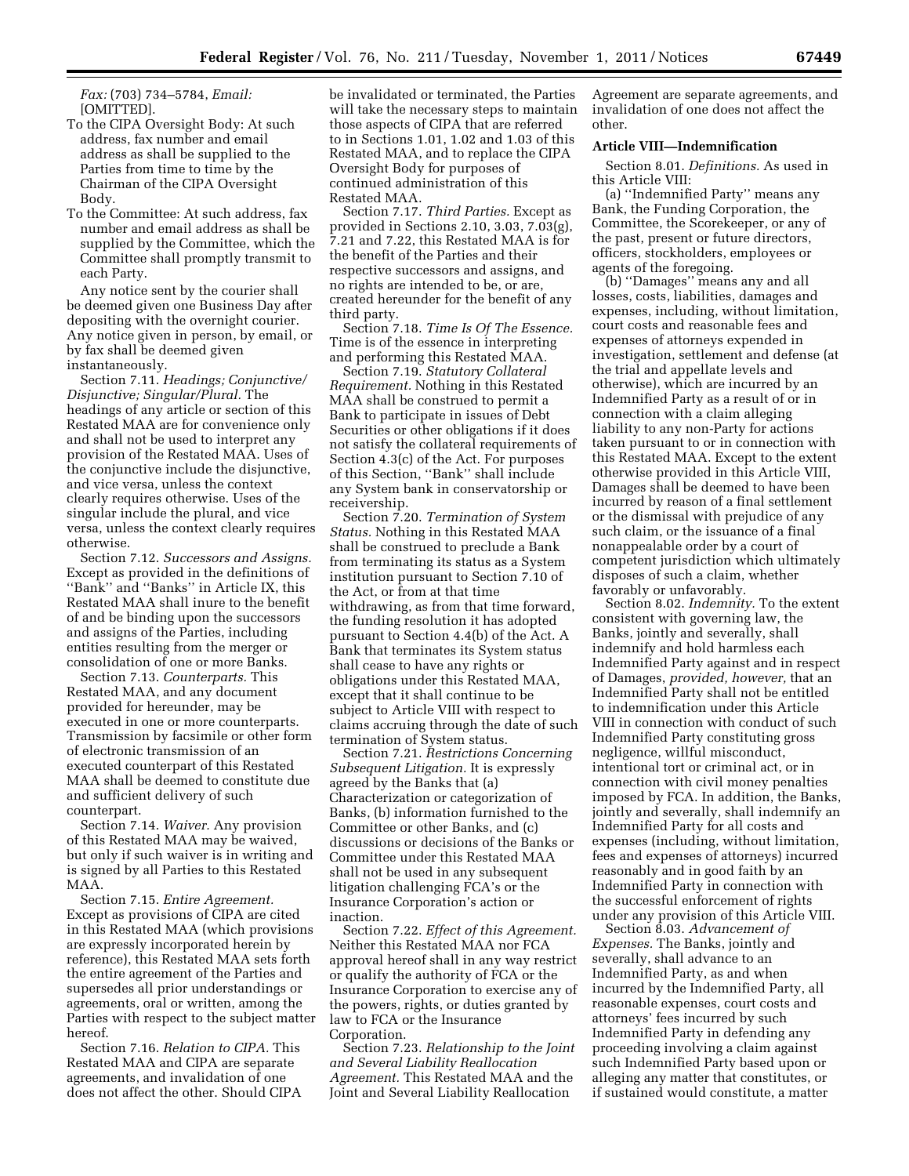*Fax:* (703) 734–5784, *Email:*  [OMITTED].

- To the CIPA Oversight Body: At such address, fax number and email address as shall be supplied to the Parties from time to time by the Chairman of the CIPA Oversight Body.
- To the Committee: At such address, fax number and email address as shall be supplied by the Committee, which the Committee shall promptly transmit to each Party.

Any notice sent by the courier shall be deemed given one Business Day after depositing with the overnight courier. Any notice given in person, by email, or by fax shall be deemed given instantaneously.

Section 7.11. *Headings; Conjunctive/ Disjunctive; Singular/Plural.* The headings of any article or section of this Restated MAA are for convenience only and shall not be used to interpret any provision of the Restated MAA. Uses of the conjunctive include the disjunctive, and vice versa, unless the context clearly requires otherwise. Uses of the singular include the plural, and vice versa, unless the context clearly requires otherwise.

Section 7.12. *Successors and Assigns.*  Except as provided in the definitions of ''Bank'' and ''Banks'' in Article IX, this Restated MAA shall inure to the benefit of and be binding upon the successors and assigns of the Parties, including entities resulting from the merger or consolidation of one or more Banks.

Section 7.13. *Counterparts.* This Restated MAA, and any document provided for hereunder, may be executed in one or more counterparts. Transmission by facsimile or other form of electronic transmission of an executed counterpart of this Restated MAA shall be deemed to constitute due and sufficient delivery of such counterpart.

Section 7.14. *Waiver.* Any provision of this Restated MAA may be waived, but only if such waiver is in writing and is signed by all Parties to this Restated MAA.

Section 7.15. *Entire Agreement.*  Except as provisions of CIPA are cited in this Restated MAA (which provisions are expressly incorporated herein by reference), this Restated MAA sets forth the entire agreement of the Parties and supersedes all prior understandings or agreements, oral or written, among the Parties with respect to the subject matter hereof.

Section 7.16. *Relation to CIPA.* This Restated MAA and CIPA are separate agreements, and invalidation of one does not affect the other. Should CIPA be invalidated or terminated, the Parties will take the necessary steps to maintain those aspects of CIPA that are referred to in Sections 1.01, 1.02 and 1.03 of this Restated MAA, and to replace the CIPA Oversight Body for purposes of continued administration of this Restated MAA.

Section 7.17. *Third Parties.* Except as provided in Sections 2.10, 3.03, 7.03(g), 7.21 and 7.22, this Restated MAA is for the benefit of the Parties and their respective successors and assigns, and no rights are intended to be, or are, created hereunder for the benefit of any third party.

Section 7.18. *Time Is Of The Essence.*  Time is of the essence in interpreting and performing this Restated MAA.

Section 7.19. *Statutory Collateral Requirement.* Nothing in this Restated MAA shall be construed to permit a Bank to participate in issues of Debt Securities or other obligations if it does not satisfy the collateral requirements of Section 4.3(c) of the Act. For purposes of this Section, ''Bank'' shall include any System bank in conservatorship or receivership.

Section 7.20. *Termination of System Status.* Nothing in this Restated MAA shall be construed to preclude a Bank from terminating its status as a System institution pursuant to Section 7.10 of the Act, or from at that time withdrawing, as from that time forward, the funding resolution it has adopted pursuant to Section 4.4(b) of the Act. A Bank that terminates its System status shall cease to have any rights or obligations under this Restated MAA, except that it shall continue to be subject to Article VIII with respect to claims accruing through the date of such termination of System status.

Section 7.21. *Restrictions Concerning Subsequent Litigation.* It is expressly agreed by the Banks that (a) Characterization or categorization of Banks, (b) information furnished to the Committee or other Banks, and (c) discussions or decisions of the Banks or Committee under this Restated MAA shall not be used in any subsequent litigation challenging FCA's or the Insurance Corporation's action or inaction.

Section 7.22. *Effect of this Agreement.*  Neither this Restated MAA nor FCA approval hereof shall in any way restrict or qualify the authority of FCA or the Insurance Corporation to exercise any of the powers, rights, or duties granted by law to FCA or the Insurance Corporation.

Section 7.23. *Relationship to the Joint and Several Liability Reallocation Agreement.* This Restated MAA and the Joint and Several Liability Reallocation

Agreement are separate agreements, and invalidation of one does not affect the other.

## **Article VIII—Indemnification**

Section 8.01. *Definitions.* As used in this Article VIII:

(a) ''Indemnified Party'' means any Bank, the Funding Corporation, the Committee, the Scorekeeper, or any of the past, present or future directors, officers, stockholders, employees or agents of the foregoing.

(b) ''Damages'' means any and all losses, costs, liabilities, damages and expenses, including, without limitation, court costs and reasonable fees and expenses of attorneys expended in investigation, settlement and defense (at the trial and appellate levels and otherwise), which are incurred by an Indemnified Party as a result of or in connection with a claim alleging liability to any non-Party for actions taken pursuant to or in connection with this Restated MAA. Except to the extent otherwise provided in this Article VIII, Damages shall be deemed to have been incurred by reason of a final settlement or the dismissal with prejudice of any such claim, or the issuance of a final nonappealable order by a court of competent jurisdiction which ultimately disposes of such a claim, whether favorably or unfavorably.

Section 8.02. *Indemnity.* To the extent consistent with governing law, the Banks, jointly and severally, shall indemnify and hold harmless each Indemnified Party against and in respect of Damages, *provided, however,* that an Indemnified Party shall not be entitled to indemnification under this Article VIII in connection with conduct of such Indemnified Party constituting gross negligence, willful misconduct, intentional tort or criminal act, or in connection with civil money penalties imposed by FCA. In addition, the Banks, jointly and severally, shall indemnify an Indemnified Party for all costs and expenses (including, without limitation, fees and expenses of attorneys) incurred reasonably and in good faith by an Indemnified Party in connection with the successful enforcement of rights under any provision of this Article VIII.

Section 8.03. *Advancement of Expenses.* The Banks, jointly and severally, shall advance to an Indemnified Party, as and when incurred by the Indemnified Party, all reasonable expenses, court costs and attorneys' fees incurred by such Indemnified Party in defending any proceeding involving a claim against such Indemnified Party based upon or alleging any matter that constitutes, or if sustained would constitute, a matter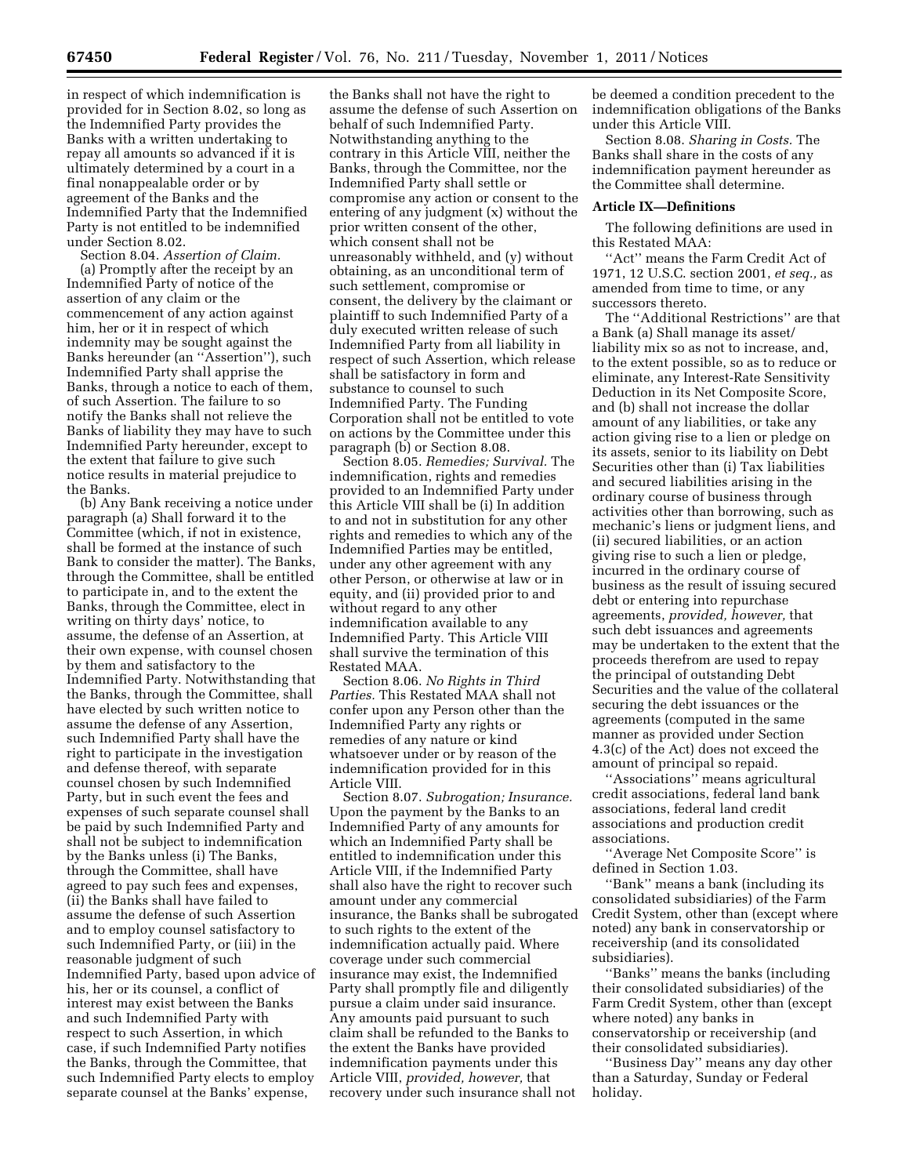in respect of which indemnification is provided for in Section 8.02, so long as the Indemnified Party provides the Banks with a written undertaking to repay all amounts so advanced if it is ultimately determined by a court in a final nonappealable order or by agreement of the Banks and the Indemnified Party that the Indemnified Party is not entitled to be indemnified under Section 8.02.

Section 8.04. *Assertion of Claim.*  (a) Promptly after the receipt by an Indemnified Party of notice of the assertion of any claim or the commencement of any action against him, her or it in respect of which indemnity may be sought against the Banks hereunder (an ''Assertion''), such Indemnified Party shall apprise the Banks, through a notice to each of them, of such Assertion. The failure to so notify the Banks shall not relieve the Banks of liability they may have to such Indemnified Party hereunder, except to the extent that failure to give such notice results in material prejudice to the Banks.

(b) Any Bank receiving a notice under paragraph (a) Shall forward it to the Committee (which, if not in existence, shall be formed at the instance of such Bank to consider the matter). The Banks, through the Committee, shall be entitled to participate in, and to the extent the Banks, through the Committee, elect in writing on thirty days' notice, to assume, the defense of an Assertion, at their own expense, with counsel chosen by them and satisfactory to the Indemnified Party. Notwithstanding that the Banks, through the Committee, shall have elected by such written notice to assume the defense of any Assertion, such Indemnified Party shall have the right to participate in the investigation and defense thereof, with separate counsel chosen by such Indemnified Party, but in such event the fees and expenses of such separate counsel shall be paid by such Indemnified Party and shall not be subject to indemnification by the Banks unless (i) The Banks, through the Committee, shall have agreed to pay such fees and expenses, (ii) the Banks shall have failed to assume the defense of such Assertion and to employ counsel satisfactory to such Indemnified Party, or (iii) in the reasonable judgment of such Indemnified Party, based upon advice of his, her or its counsel, a conflict of interest may exist between the Banks and such Indemnified Party with respect to such Assertion, in which case, if such Indemnified Party notifies the Banks, through the Committee, that such Indemnified Party elects to employ separate counsel at the Banks' expense,

the Banks shall not have the right to assume the defense of such Assertion on behalf of such Indemnified Party. Notwithstanding anything to the contrary in this Article VIII, neither the Banks, through the Committee, nor the Indemnified Party shall settle or compromise any action or consent to the entering of any judgment (x) without the prior written consent of the other, which consent shall not be unreasonably withheld, and (y) without obtaining, as an unconditional term of such settlement, compromise or consent, the delivery by the claimant or plaintiff to such Indemnified Party of a duly executed written release of such Indemnified Party from all liability in respect of such Assertion, which release shall be satisfactory in form and substance to counsel to such Indemnified Party. The Funding Corporation shall not be entitled to vote on actions by the Committee under this paragraph (b) or Section 8.08.

Section 8.05. *Remedies; Survival.* The indemnification, rights and remedies provided to an Indemnified Party under this Article VIII shall be (i) In addition to and not in substitution for any other rights and remedies to which any of the Indemnified Parties may be entitled, under any other agreement with any other Person, or otherwise at law or in equity, and (ii) provided prior to and without regard to any other indemnification available to any Indemnified Party. This Article VIII shall survive the termination of this Restated MAA.

Section 8.06. *No Rights in Third Parties.* This Restated MAA shall not confer upon any Person other than the Indemnified Party any rights or remedies of any nature or kind whatsoever under or by reason of the indemnification provided for in this Article VIII.

Section 8.07. *Subrogation; Insurance.*  Upon the payment by the Banks to an Indemnified Party of any amounts for which an Indemnified Party shall be entitled to indemnification under this Article VIII, if the Indemnified Party shall also have the right to recover such amount under any commercial insurance, the Banks shall be subrogated to such rights to the extent of the indemnification actually paid. Where coverage under such commercial insurance may exist, the Indemnified Party shall promptly file and diligently pursue a claim under said insurance. Any amounts paid pursuant to such claim shall be refunded to the Banks to the extent the Banks have provided indemnification payments under this Article VIII, *provided, however,* that recovery under such insurance shall not

be deemed a condition precedent to the indemnification obligations of the Banks under this Article VIII.

Section 8.08. *Sharing in Costs.* The Banks shall share in the costs of any indemnification payment hereunder as the Committee shall determine.

#### **Article IX—Definitions**

The following definitions are used in this Restated MAA:

''Act'' means the Farm Credit Act of 1971, 12 U.S.C. section 2001, *et seq.,* as amended from time to time, or any successors thereto.

The ''Additional Restrictions'' are that a Bank (a) Shall manage its asset/ liability mix so as not to increase, and, to the extent possible, so as to reduce or eliminate, any Interest-Rate Sensitivity Deduction in its Net Composite Score, and (b) shall not increase the dollar amount of any liabilities, or take any action giving rise to a lien or pledge on its assets, senior to its liability on Debt Securities other than (i) Tax liabilities and secured liabilities arising in the ordinary course of business through activities other than borrowing, such as mechanic's liens or judgment liens, and (ii) secured liabilities, or an action giving rise to such a lien or pledge, incurred in the ordinary course of business as the result of issuing secured debt or entering into repurchase agreements, *provided, however,* that such debt issuances and agreements may be undertaken to the extent that the proceeds therefrom are used to repay the principal of outstanding Debt Securities and the value of the collateral securing the debt issuances or the agreements (computed in the same manner as provided under Section 4.3(c) of the Act) does not exceed the amount of principal so repaid.

''Associations'' means agricultural credit associations, federal land bank associations, federal land credit associations and production credit associations.

''Average Net Composite Score'' is defined in Section 1.03.

''Bank'' means a bank (including its consolidated subsidiaries) of the Farm Credit System, other than (except where noted) any bank in conservatorship or receivership (and its consolidated subsidiaries).

''Banks'' means the banks (including their consolidated subsidiaries) of the Farm Credit System, other than (except where noted) any banks in conservatorship or receivership (and their consolidated subsidiaries).

''Business Day'' means any day other than a Saturday, Sunday or Federal holiday.